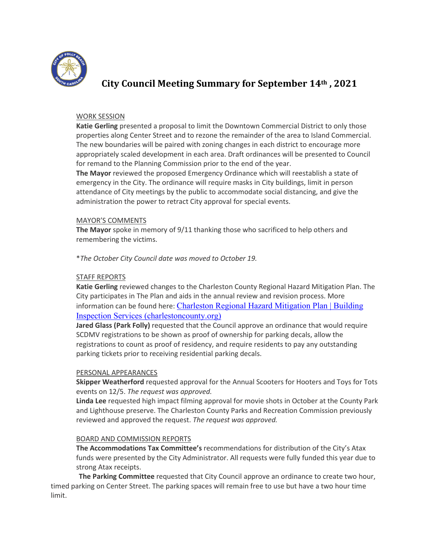

# **City Council Meeting Summary for September 14th , 2021**

# WORK SESSION

**Katie Gerling** presented a proposal to limit the Downtown Commercial District to only those properties along Center Street and to rezone the remainder of the area to Island Commercial. The new boundaries will be paired with zoning changes in each district to encourage more appropriately scaled development in each area. Draft ordinances will be presented to Council for remand to the Planning Commission prior to the end of the year.

**The Mayor** reviewed the proposed Emergency Ordinance which will reestablish a state of emergency in the City. The ordinance will require masks in City buildings, limit in person attendance of City meetings by the public to accommodate social distancing, and give the administration the power to retract City approval for special events.

## MAYOR'S COMMENTS

**The Mayor** spoke in memory of 9/11 thanking those who sacrificed to help others and remembering the victims.

\**The October City Council date was moved to October 19.*

## STAFF REPORTS

**Katie Gerling** reviewed changes to the Charleston County Regional Hazard Mitigation Plan. The City participates in The Plan and aids in the annual review and revision process. More information can be found here: [Charleston](https://www.charlestoncounty.org/departments/building-inspection-services/hazard-mitigation-plan.php) Regional Hazard Mitigation Plan | Building Inspection Services [\(charlestoncounty.org\)](https://www.charlestoncounty.org/departments/building-inspection-services/hazard-mitigation-plan.php)

**Jared Glass (Park Folly)** requested that the Council approve an ordinance that would require SCDMV registrations to be shown as proof of ownership for parking decals, allow the registrations to count as proof of residency, and require residents to pay any outstanding parking tickets prior to receiving residential parking decals.

#### PERSONAL APPEARANCES

**Skipper Weatherford** requested approval for the Annual Scooters for Hooters and Toys for Tots events on 12/5. *The request was approved.*

**Linda Lee** requested high impact filming approval for movie shots in October at the County Park and Lighthouse preserve. The Charleston County Parks and Recreation Commission previously reviewed and approved the request. *The request was approved.*

#### BOARD AND COMMISSION REPORTS

**The Accommodations Tax Committee's** recommendations for distribution of the City's Atax funds were presented by the City Administrator. All requests were fully funded this year due to strong Atax receipts.

**The Parking Committee** requested that City Council approve an ordinance to create two hour, timed parking on Center Street. The parking spaces will remain free to use but have a two hour time limit.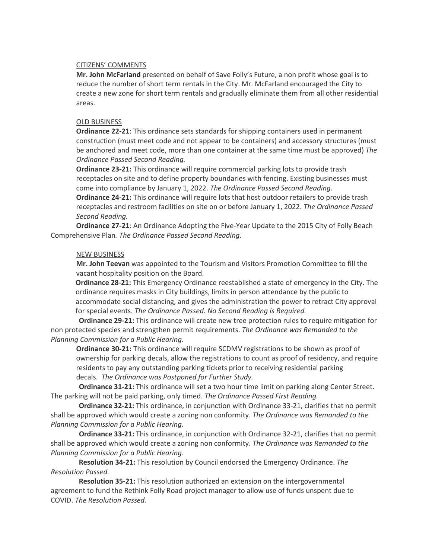#### CITIZENS' COMMENTS

**Mr. John McFarland** presented on behalf of Save Folly's Future, a non profit whose goal is to reduce the number of short term rentals in the City. Mr. McFarland encouraged the City to create a new zone for short term rentals and gradually eliminate them from all other residential areas.

# OLD BUSINESS

**Ordinance 22-21**: This ordinance sets standards for shipping containers used in permanent construction (must meet code and not appear to be containers) and accessory structures (must be anchored and meet code, more than one container at the same time must be approved) *The Ordinance Passed Second Reading.*

**Ordinance 23-21:** This ordinance will require commercial parking lots to provide trash receptacles on site and to define property boundaries with fencing. Existing businesses must come into compliance by January 1, 2022. *The Ordinance Passed Second Reading.*

**Ordinance 24-21:** This ordinance will require lots that host outdoor retailers to provide trash receptacles and restroom facilities on site on or before January 1, 2022. *The Ordinance Passed Second Reading.*

**Ordinance 27-21**: An Ordinance Adopting the Five-Year Update to the 2015 City of Folly Beach Comprehensive Plan*. The Ordinance Passed Second Reading.*

## NEW BUSINESS

**Mr. John Teevan** was appointed to the Tourism and Visitors Promotion Committee to fill the vacant hospitality position on the Board.

**Ordinance 28-21:** This Emergency Ordinance reestablished a state of emergency in the City. The ordinance requires masks in City buildings, limits in person attendance by the public to accommodate social distancing, and gives the administration the power to retract City approval for special events. *The Ordinance Passed. No Second Reading is Required.*

 **Ordinance 29-21:** This ordinance will create new tree protection rules to require mitigation for non protected species and strengthen permit requirements. *The Ordinance was Remanded to the Planning Commission for a Public Hearing.*

**Ordinance 30-21:** This ordinance will require SCDMV registrations to be shown as proof of ownership for parking decals, allow the registrations to count as proof of residency, and require residents to pay any outstanding parking tickets prior to receiving residential parking decals. *The Ordinance was Postponed for Further Study.*

 **Ordinance 31-21:** This ordinance will set a two hour time limit on parking along Center Street. The parking will not be paid parking, only timed. *The Ordinance Passed First Reading.*

 **Ordinance 32-21:** This ordinance, in conjunction with Ordinance 33-21, clarifies that no permit shall be approved which would create a zoning non conformity. *The Ordinance was Remanded to the Planning Commission for a Public Hearing.*

 **Ordinance 33-21:** This ordinance, in conjunction with Ordinance 32-21, clarifies that no permit shall be approved which would create a zoning non conformity. *The Ordinance was Remanded to the Planning Commission for a Public Hearing.*

 **Resolution 34-21:** This resolution by Council endorsed the Emergency Ordinance. *The Resolution Passed.*

 **Resolution 35-21:** This resolution authorized an extension on the intergovernmental agreement to fund the Rethink Folly Road project manager to allow use of funds unspent due to COVID. *The Resolution Passed.*